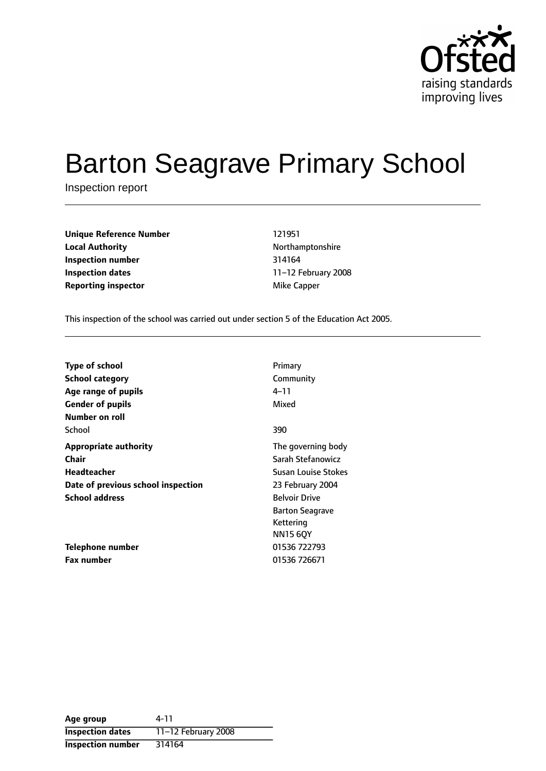

# Barton Seagrave Primary School

Inspection report

| <b>Unique Reference Number</b> | 121951       |
|--------------------------------|--------------|
| <b>Local Authority</b>         | Northamptor  |
| Inspection number              | 314164       |
| Inspection dates               | 11-12 Februa |
| <b>Reporting inspector</b>     | Mike Capper  |

**Local Authority** Northamptonshire **Inspection number** 314164 **Inspection dates** 1112 February 2008

This inspection of the school was carried out under section 5 of the Education Act 2005.

| <b>Type of school</b>              | Primary                    |
|------------------------------------|----------------------------|
| <b>School category</b>             | Community                  |
| Age range of pupils                | 4–11                       |
| <b>Gender of pupils</b>            | Mixed                      |
| Number on roll                     |                            |
| School                             | 390                        |
| <b>Appropriate authority</b>       | The governing body         |
| Chair                              | Sarah Stefanowicz          |
| Headteacher                        | <b>Susan Louise Stokes</b> |
| Date of previous school inspection | 23 February 2004           |
| <b>School address</b>              | <b>Belvoir Drive</b>       |
|                                    | <b>Barton Seagrave</b>     |
|                                    | Kettering                  |
|                                    | <b>NN15 6QY</b>            |
| Telephone number                   | 01536 722793               |
| <b>Fax number</b>                  | 01536 726671               |

| Age group                | 4-11                  |
|--------------------------|-----------------------|
| <b>Inspection dates</b>  | 11-12 February $2008$ |
| <b>Inspection number</b> | 314164                |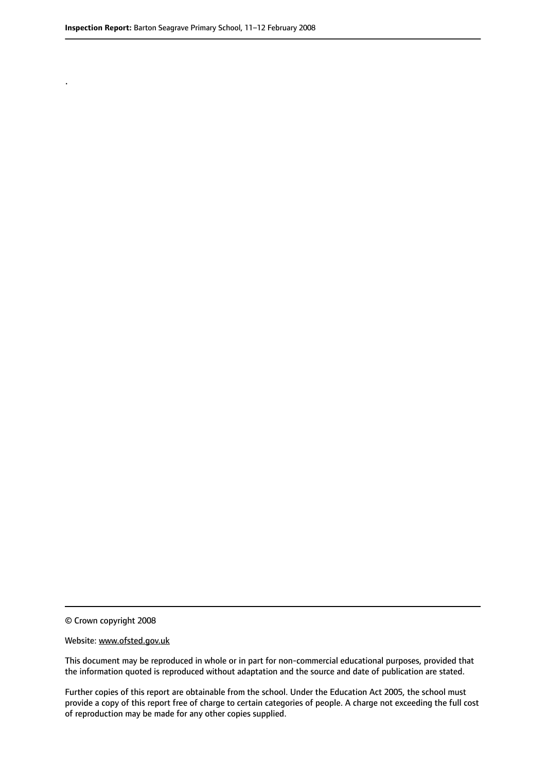.

© Crown copyright 2008

#### Website: www.ofsted.gov.uk

This document may be reproduced in whole or in part for non-commercial educational purposes, provided that the information quoted is reproduced without adaptation and the source and date of publication are stated.

Further copies of this report are obtainable from the school. Under the Education Act 2005, the school must provide a copy of this report free of charge to certain categories of people. A charge not exceeding the full cost of reproduction may be made for any other copies supplied.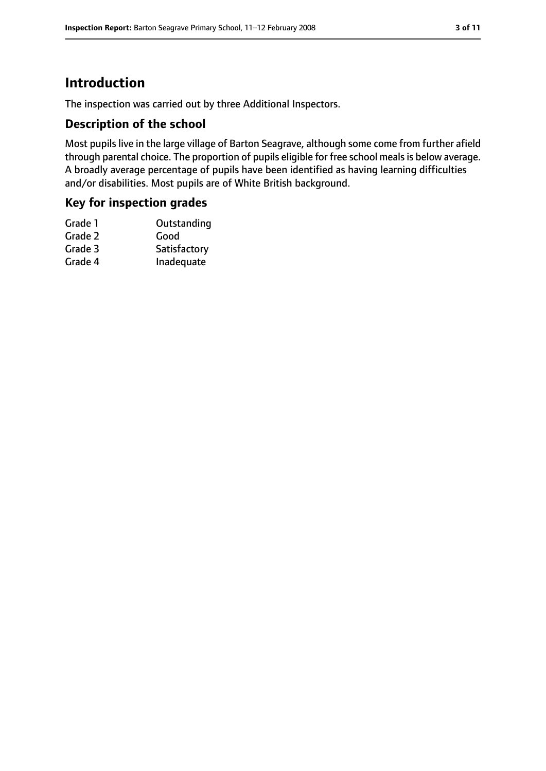### **Introduction**

The inspection was carried out by three Additional Inspectors.

#### **Description of the school**

Most pupils live in the large village of Barton Seagrave, although some come from further afield through parental choice. The proportion of pupils eligible for free school meals is below average. A broadly average percentage of pupils have been identified as having learning difficulties and/or disabilities. Most pupils are of White British background.

#### **Key for inspection grades**

| Grade 1 | Outstanding  |
|---------|--------------|
| Grade 2 | Good         |
| Grade 3 | Satisfactory |
| Grade 4 | Inadequate   |
|         |              |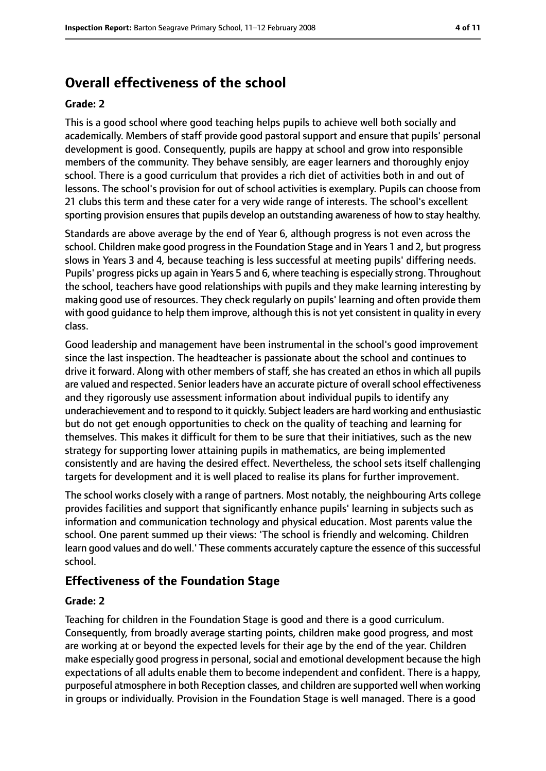### **Overall effectiveness of the school**

#### **Grade: 2**

This is a good school where good teaching helps pupils to achieve well both socially and academically. Members of staff provide good pastoral support and ensure that pupils' personal development is good. Consequently, pupils are happy at school and grow into responsible members of the community. They behave sensibly, are eager learners and thoroughly enjoy school. There is a good curriculum that provides a rich diet of activities both in and out of lessons. The school's provision for out of school activities is exemplary. Pupils can choose from 21 clubs this term and these cater for a very wide range of interests. The school's excellent sporting provision ensures that pupils develop an outstanding awareness of how to stay healthy.

Standards are above average by the end of Year 6, although progress is not even across the school. Children make good progressin the Foundation Stage and in Years 1 and 2, but progress slows in Years 3 and 4, because teaching is less successful at meeting pupils' differing needs. Pupils' progress picks up again in Years 5 and 6, where teaching is especially strong. Throughout the school, teachers have good relationships with pupils and they make learning interesting by making good use of resources. They check regularly on pupils' learning and often provide them with good guidance to help them improve, although this is not yet consistent in quality in every class.

Good leadership and management have been instrumental in the school's good improvement since the last inspection. The headteacher is passionate about the school and continues to drive it forward. Along with other members of staff, she has created an ethos in which all pupils are valued and respected. Senior leaders have an accurate picture of overallschool effectiveness and they rigorously use assessment information about individual pupils to identify any underachievement and to respond to it quickly. Subject leaders are hard working and enthusiastic but do not get enough opportunities to check on the quality of teaching and learning for themselves. This makes it difficult for them to be sure that their initiatives, such as the new strategy for supporting lower attaining pupils in mathematics, are being implemented consistently and are having the desired effect. Nevertheless, the school sets itself challenging targets for development and it is well placed to realise its plans for further improvement.

The school works closely with a range of partners. Most notably, the neighbouring Arts college provides facilities and support that significantly enhance pupils' learning in subjects such as information and communication technology and physical education. Most parents value the school. One parent summed up their views: 'The school is friendly and welcoming. Children learn good values and do well.' These comments accurately capture the essence of this successful school.

#### **Effectiveness of the Foundation Stage**

#### **Grade: 2**

Teaching for children in the Foundation Stage is good and there is a good curriculum. Consequently, from broadly average starting points, children make good progress, and most are working at or beyond the expected levels for their age by the end of the year. Children make especially good progress in personal, social and emotional development because the high expectations of all adults enable them to become independent and confident. There is a happy, purposeful atmosphere in both Reception classes, and children are supported well when working in groups or individually. Provision in the Foundation Stage is well managed. There is a good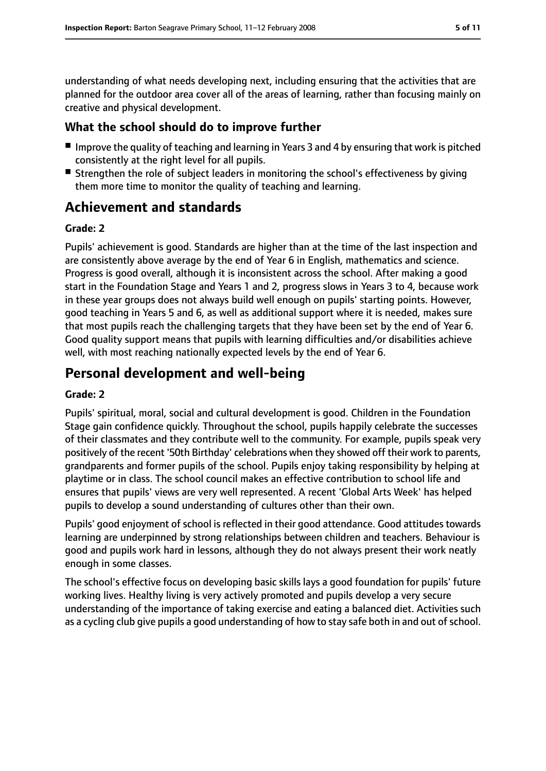understanding of what needs developing next, including ensuring that the activities that are planned for the outdoor area cover all of the areas of learning, rather than focusing mainly on creative and physical development.

#### **What the school should do to improve further**

- Improve the quality of teaching and learning in Years 3 and 4 by ensuring that work is pitched consistently at the right level for all pupils.
- Strengthen the role of subject leaders in monitoring the school's effectiveness by giving them more time to monitor the quality of teaching and learning.

### **Achievement and standards**

#### **Grade: 2**

Pupils' achievement is good. Standards are higher than at the time of the last inspection and are consistently above average by the end of Year 6 in English, mathematics and science. Progress is good overall, although it is inconsistent across the school. After making a good start in the Foundation Stage and Years 1 and 2, progress slows in Years 3 to 4, because work in these year groups does not always build well enough on pupils' starting points. However, good teaching in Years 5 and 6, as well as additional support where it is needed, makes sure that most pupils reach the challenging targets that they have been set by the end of Year 6. Good quality support means that pupils with learning difficulties and/or disabilities achieve well, with most reaching nationally expected levels by the end of Year 6.

### **Personal development and well-being**

#### **Grade: 2**

Pupils' spiritual, moral, social and cultural development is good. Children in the Foundation Stage gain confidence quickly. Throughout the school, pupils happily celebrate the successes of their classmates and they contribute well to the community. For example, pupils speak very positively of the recent '50th Birthday' celebrations when they showed off their work to parents, grandparents and former pupils of the school. Pupils enjoy taking responsibility by helping at playtime or in class. The school council makes an effective contribution to school life and ensures that pupils' views are very well represented. A recent 'Global Arts Week' has helped pupils to develop a sound understanding of cultures other than their own.

Pupils' good enjoyment of school is reflected in their good attendance. Good attitudes towards learning are underpinned by strong relationships between children and teachers. Behaviour is good and pupils work hard in lessons, although they do not always present their work neatly enough in some classes.

The school's effective focus on developing basic skills lays a good foundation for pupils' future working lives. Healthy living is very actively promoted and pupils develop a very secure understanding of the importance of taking exercise and eating a balanced diet. Activities such as a cycling club give pupils a good understanding of how to stay safe both in and out of school.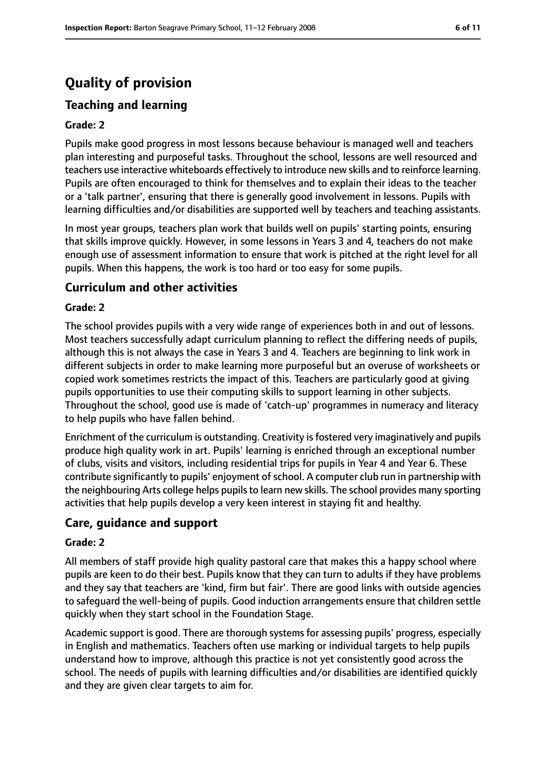## **Quality of provision**

### **Teaching and learning**

#### **Grade: 2**

Pupils make good progress in most lessons because behaviour is managed well and teachers plan interesting and purposeful tasks. Throughout the school, lessons are well resourced and teachers use interactive whiteboards effectively to introduce new skills and to reinforce learning. Pupils are often encouraged to think for themselves and to explain their ideas to the teacher or a 'talk partner', ensuring that there is generally good involvement in lessons. Pupils with learning difficulties and/or disabilities are supported well by teachers and teaching assistants.

In most year groups, teachers plan work that builds well on pupils' starting points, ensuring that skills improve quickly. However, in some lessons in Years 3 and 4, teachers do not make enough use of assessment information to ensure that work is pitched at the right level for all pupils. When this happens, the work is too hard or too easy for some pupils.

#### **Curriculum and other activities**

#### **Grade: 2**

The school provides pupils with a very wide range of experiences both in and out of lessons. Most teachers successfully adapt curriculum planning to reflect the differing needs of pupils, although this is not always the case in Years 3 and 4. Teachers are beginning to link work in different subjects in order to make learning more purposeful but an overuse of worksheets or copied work sometimes restricts the impact of this. Teachers are particularly good at giving pupils opportunities to use their computing skills to support learning in other subjects. Throughout the school, good use is made of 'catch-up' programmes in numeracy and literacy to help pupils who have fallen behind.

Enrichment of the curriculum is outstanding. Creativity is fostered very imaginatively and pupils produce high quality work in art. Pupils' learning is enriched through an exceptional number of clubs, visits and visitors, including residential trips for pupils in Year 4 and Year 6. These contribute significantly to pupils' enjoyment of school. A computer club run in partnership with the neighbouring Arts college helps pupilsto learn new skills. The school provides many sporting activities that help pupils develop a very keen interest in staying fit and healthy.

#### **Care, guidance and support**

#### **Grade: 2**

All members of staff provide high quality pastoral care that makes this a happy school where pupils are keen to do their best. Pupils know that they can turn to adults if they have problems and they say that teachers are 'kind, firm but fair'. There are good links with outside agencies to safeguard the well-being of pupils. Good induction arrangements ensure that children settle quickly when they start school in the Foundation Stage.

Academic support is good. There are thorough systems for assessing pupils' progress, especially in English and mathematics. Teachers often use marking or individual targets to help pupils understand how to improve, although this practice is not yet consistently good across the school. The needs of pupils with learning difficulties and/or disabilities are identified quickly and they are given clear targets to aim for.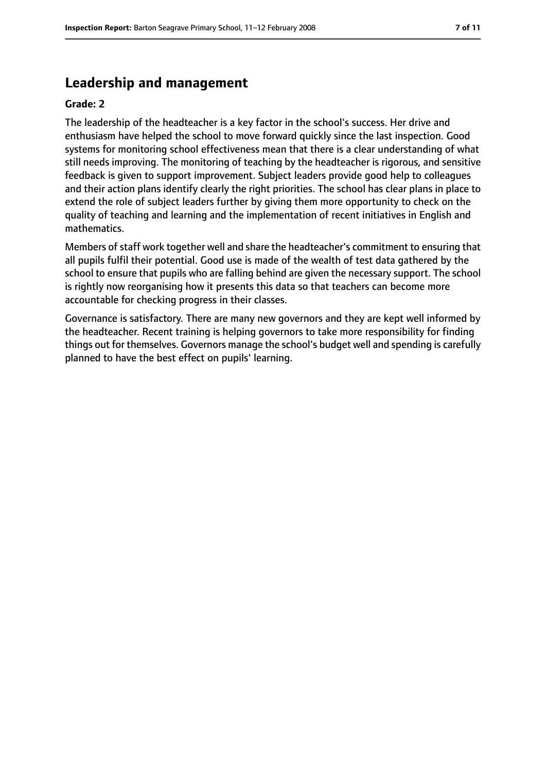### **Leadership and management**

#### **Grade: 2**

The leadership of the headteacher is a key factor in the school's success. Her drive and enthusiasm have helped the school to move forward quickly since the last inspection. Good systems for monitoring school effectiveness mean that there is a clear understanding of what still needs improving. The monitoring of teaching by the headteacher is rigorous, and sensitive feedback is given to support improvement. Subject leaders provide good help to colleagues and their action plans identify clearly the right priorities. The school has clear plans in place to extend the role of subject leaders further by giving them more opportunity to check on the quality of teaching and learning and the implementation of recent initiatives in English and mathematics.

Members of staff work together well and share the headteacher's commitment to ensuring that all pupils fulfil their potential. Good use is made of the wealth of test data gathered by the school to ensure that pupils who are falling behind are given the necessary support. The school is rightly now reorganising how it presents this data so that teachers can become more accountable for checking progress in their classes.

Governance is satisfactory. There are many new governors and they are kept well informed by the headteacher. Recent training is helping governors to take more responsibility for finding things out for themselves. Governors manage the school's budget well and spending is carefully planned to have the best effect on pupils' learning.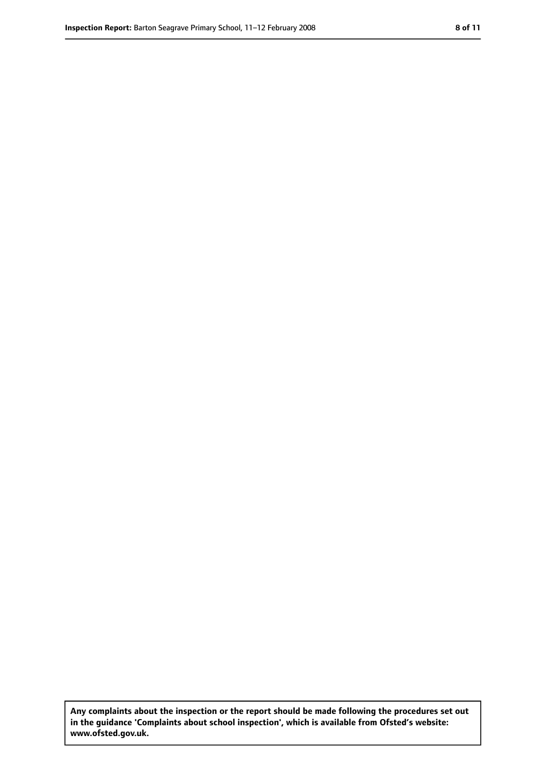**Any complaints about the inspection or the report should be made following the procedures set out in the guidance 'Complaints about school inspection', which is available from Ofsted's website: www.ofsted.gov.uk.**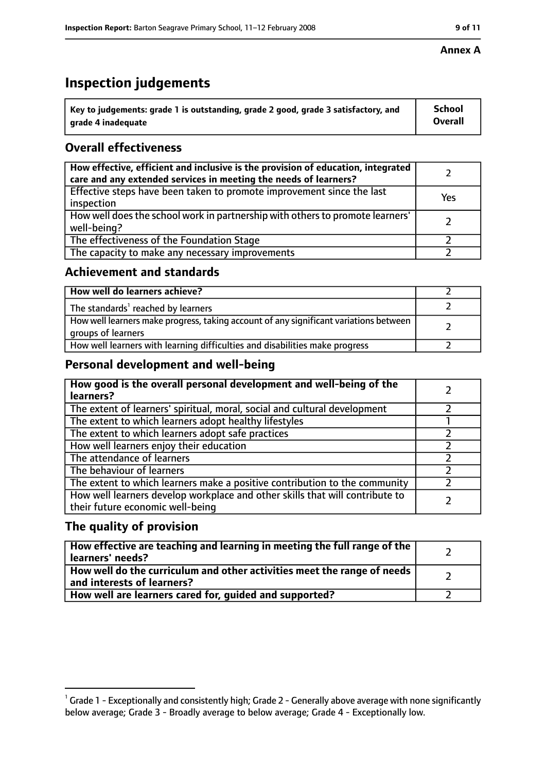### **Inspection judgements**

| $\dot{~}$ Key to judgements: grade 1 is outstanding, grade 2 good, grade 3 satisfactory, and | <b>School</b>  |
|----------------------------------------------------------------------------------------------|----------------|
| arade 4 inadequate                                                                           | <b>Overall</b> |

### **Overall effectiveness**

| How effective, efficient and inclusive is the provision of education, integrated<br>care and any extended services in meeting the needs of learners? |     |
|------------------------------------------------------------------------------------------------------------------------------------------------------|-----|
| Effective steps have been taken to promote improvement since the last<br>inspection                                                                  | Yes |
| How well does the school work in partnership with others to promote learners'<br>well-being?                                                         |     |
| The effectiveness of the Foundation Stage                                                                                                            |     |
| The capacity to make any necessary improvements                                                                                                      |     |

#### **Achievement and standards**

| How well do learners achieve?                                                                               |  |
|-------------------------------------------------------------------------------------------------------------|--|
| The standards <sup>1</sup> reached by learners                                                              |  |
| How well learners make progress, taking account of any significant variations between<br>groups of learners |  |
| How well learners with learning difficulties and disabilities make progress                                 |  |

#### **Personal development and well-being**

| How good is the overall personal development and well-being of the<br>learners?                                  |  |
|------------------------------------------------------------------------------------------------------------------|--|
| The extent of learners' spiritual, moral, social and cultural development                                        |  |
| The extent to which learners adopt healthy lifestyles                                                            |  |
| The extent to which learners adopt safe practices                                                                |  |
| How well learners enjoy their education                                                                          |  |
| The attendance of learners                                                                                       |  |
| The behaviour of learners                                                                                        |  |
| The extent to which learners make a positive contribution to the community                                       |  |
| How well learners develop workplace and other skills that will contribute to<br>their future economic well-being |  |

#### **The quality of provision**

| How effective are teaching and learning in meeting the full range of the<br>learners' needs?          |  |
|-------------------------------------------------------------------------------------------------------|--|
| How well do the curriculum and other activities meet the range of needs<br>and interests of learners? |  |
| How well are learners cared for, quided and supported?                                                |  |

#### **Annex A**

 $^1$  Grade 1 - Exceptionally and consistently high; Grade 2 - Generally above average with none significantly below average; Grade 3 - Broadly average to below average; Grade 4 - Exceptionally low.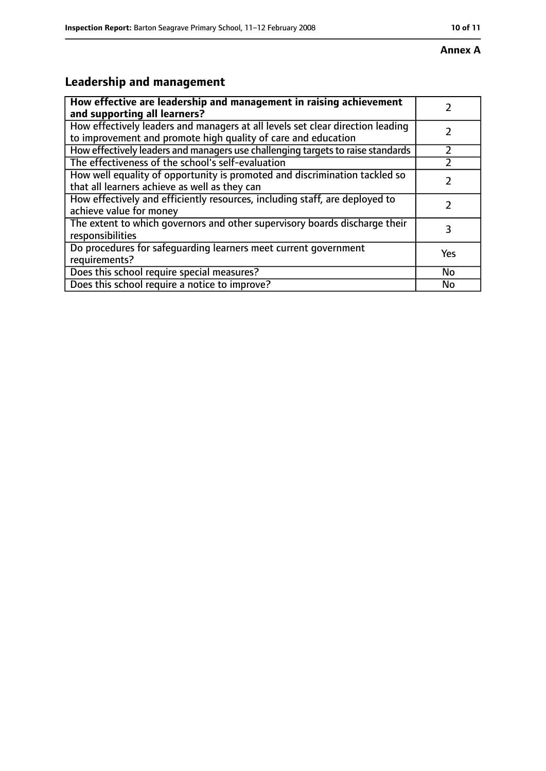#### **Annex A**

### **Leadership and management**

| How effective are leadership and management in raising achievement<br>and supporting all learners?                                              |     |
|-------------------------------------------------------------------------------------------------------------------------------------------------|-----|
| How effectively leaders and managers at all levels set clear direction leading<br>to improvement and promote high quality of care and education |     |
| How effectively leaders and managers use challenging targets to raise standards                                                                 |     |
| The effectiveness of the school's self-evaluation                                                                                               |     |
| How well equality of opportunity is promoted and discrimination tackled so<br>that all learners achieve as well as they can                     |     |
| How effectively and efficiently resources, including staff, are deployed to<br>achieve value for money                                          |     |
| The extent to which governors and other supervisory boards discharge their<br>responsibilities                                                  | 3   |
| Do procedures for safequarding learners meet current government<br>requirements?                                                                | Yes |
| Does this school require special measures?                                                                                                      | No  |
| Does this school require a notice to improve?                                                                                                   | No  |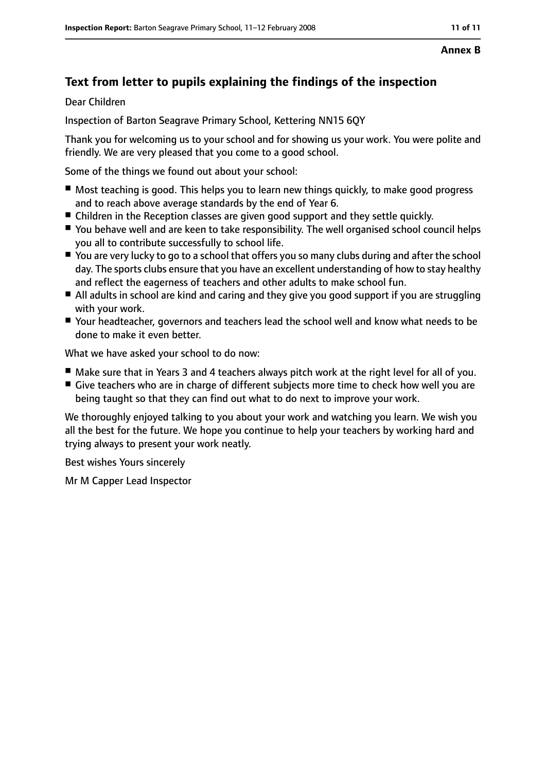#### **Annex B**

### **Text from letter to pupils explaining the findings of the inspection**

Dear Children

Inspection of Barton Seagrave Primary School, Kettering NN15 6QY

Thank you for welcoming us to your school and for showing us your work. You were polite and friendly. We are very pleased that you come to a good school.

Some of the things we found out about your school:

- Most teaching is good. This helps you to learn new things quickly, to make good progress and to reach above average standards by the end of Year 6.
- Children in the Reception classes are given good support and they settle quickly.
- You behave well and are keen to take responsibility. The well organised school council helps you all to contribute successfully to school life.
- You are very lucky to go to a school that offers you so many clubs during and after the school day. The sports clubs ensure that you have an excellent understanding of how to stay healthy and reflect the eagerness of teachers and other adults to make school fun.
- All adults in school are kind and caring and they give you good support if you are struggling with your work.
- Your headteacher, governors and teachers lead the school well and know what needs to be done to make it even better.

What we have asked your school to do now:

- Make sure that in Years 3 and 4 teachers always pitch work at the right level for all of you.
- Give teachers who are in charge of different subjects more time to check how well you are being taught so that they can find out what to do next to improve your work.

We thoroughly enjoyed talking to you about your work and watching you learn. We wish you all the best for the future. We hope you continue to help your teachers by working hard and trying always to present your work neatly.

Best wishes Yours sincerely

Mr M Capper Lead Inspector